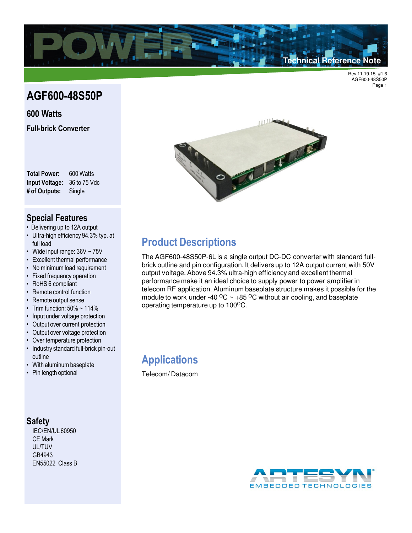

# **AGF600-48S50P**

#### **600 Watts**

**Full-brick Converter**

**Total Power:** 600 Watts **Input Voltage:** 36 to 75 Vdc **# of Outputs:** Single

### **Special Features**

- Delivering up to 12A output
- Ultra-high efficiency 94.3% typ. at full load
- Wide input range: 36V ~ 75V
- Excellent thermal performance
- No minimum load requirement
- Fixed frequency operation
- RoHS 6 compliant
- Remote control function
- Remote output sense
- Trim function:  $50\% \sim 114\%$
- Input under voltage protection
- Output over current protection
- Output over voltage protection
- Over temperature protection
- Industry standard full-brick pin-out outline
- With aluminum baseplate
- Pin length optional

### **Safety**

IEC/EN/UL 60950 CE Mark UL/TUV GB4943 EN55022 Class B



# **Product Descriptions**

The AGF600-48S50P-6L is a single output DC-DC converter with standard fullbrick outline and pin configuration. It delivers up to 12A output current with 50V output voltage. Above 94.3% ultra-high efficiency and excellent thermal performance make it an ideal choice to supply power to power amplifier in telecom RF application. Aluminum baseplate structure makes it possible for the module to work under -40  $\rm{^{\circ}C}$  ~ +85  $\rm{^{\circ}C}$  without air cooling, and baseplate operating temperature up to 100°C.

**Applications**

Telecom/ Datacom

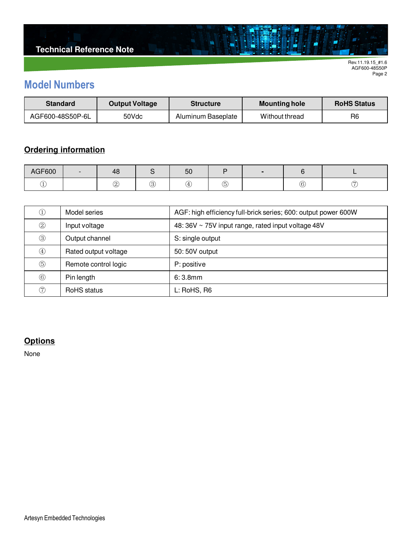# **Model Numbers**

| <b>Standard</b>  | <b>Output Voltage</b> | <b>Structure</b>   | <b>Mounting hole</b> | <b>RoHS Status</b> |
|------------------|-----------------------|--------------------|----------------------|--------------------|
| AGF600-48S50P-6L | 50Vdc                 | Aluminum Baseplate | Without thread       | R <sub>6</sub>     |

 $\blacksquare$ 

## **Ordering information**

| AGF600 | - | 48               |        | ას     |         |             |  |
|--------|---|------------------|--------|--------|---------|-------------|--|
| ے      |   | $\sim$<br>◡<br>◡ | ົ<br>୰ | $\sim$ | W,<br>◡ | ╭<br>Ö<br>∽ |  |

| ①              | Model series         | AGF: high efficiency full-brick series; 600: output power 600W |
|----------------|----------------------|----------------------------------------------------------------|
| $^{\circledR}$ | Input voltage        | 48: 36V ~ 75V input range, rated input voltage 48V             |
| $\circledS$    | Output channel       | S: single output                                               |
| $\circled{4}$  | Rated output voltage | 50:50V output                                                  |
| $\circledS$    | Remote control logic | P: positive                                                    |
| $\circled{6}$  | Pin length           | 6:3.8mm                                                        |
| (7)            | RoHS status          | L: RoHS, R6                                                    |

### **Options**

None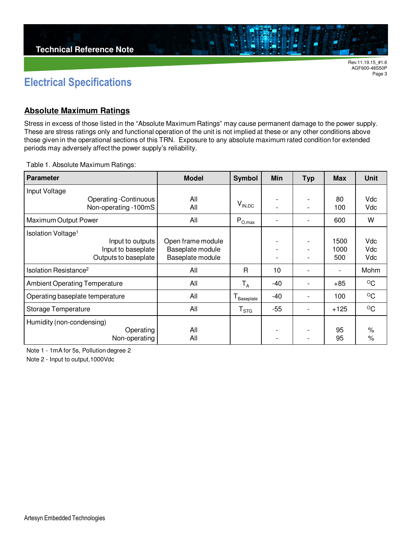

## **Electrical Specifications**

#### **Absolute Maximum Ratings**

Stress in excess of those listed in the "Absolute Maximum Ratings" may cause permanent damage to the power supply. These are stress ratings only and functional operation of the unit is not implied at these or any other conditions above those given in the operational sections of this TRN. Exposure to any absolute maximum rated condition for extended periods may adversely affect the power supply's reliability.

Table 1. Absolute Maximum Ratings:

| <b>Parameter</b>                     | <b>Model</b>      | Symbol                        | Min   | <b>Typ</b>               | <b>Max</b>               | <b>Unit</b>  |
|--------------------------------------|-------------------|-------------------------------|-------|--------------------------|--------------------------|--------------|
| Input Voltage                        |                   |                               |       |                          |                          |              |
| <b>Operating -Continuous</b>         | All               | $V_{\mathsf{IN},\mathsf{DC}}$ |       |                          | 80                       | Vdc          |
| Non-operating -100mS                 | All               |                               |       | $\overline{\phantom{a}}$ | 100                      | Vdc          |
| Maximum Output Power                 | All               | $P_{O,max}$                   |       |                          | 600                      | W            |
| Isolation Voltage <sup>1</sup>       |                   |                               |       |                          |                          |              |
| Input to outputs                     | Open frame module |                               |       |                          | 1500                     | Vdc          |
| Input to baseplate                   | Baseplate module  |                               |       | $\overline{\phantom{0}}$ | 1000                     | Vdc          |
| Outputs to baseplate                 | Baseplate module  |                               |       |                          | 500                      | Vdc          |
| Isolation Resistance <sup>2</sup>    | All               | R                             | 10    | $\overline{\phantom{0}}$ | $\overline{\phantom{0}}$ | Mohm         |
| <b>Ambient Operating Temperature</b> | All               | $T_A$                         | -40   |                          | $+85$                    | $\circ$ C    |
| Operating baseplate temperature      | All               | $T_{\text{Baseplate}}$        | -40   |                          | 100                      | $^{\circ}$ C |
| <b>Storage Temperature</b>           | All               | ${\sf T}_{\texttt{STG}}$      | $-55$ |                          | $+125$                   | $^{\circ}$ C |
| Humidity (non-condensing)            |                   |                               |       |                          |                          |              |
| Operating                            | All               |                               |       |                          | 95                       | $\%$         |
| Non-operating                        | All               |                               |       | $\overline{\phantom{a}}$ | 95                       | $\%$         |

Note 1 - 1mA for 5s, Pollution degree 2

Note 2 - Input to output,1000Vdc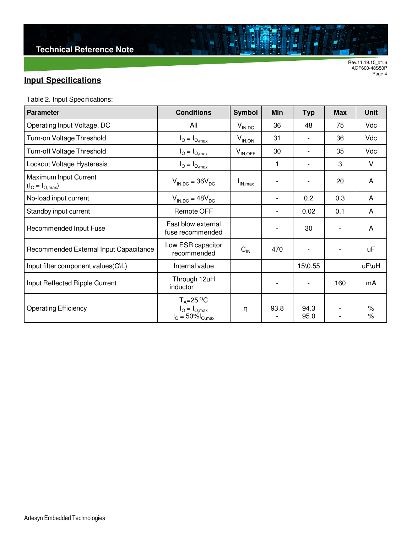## **Input Specifications**

Table 2. Input Specifications:

| <b>Parameter</b>                         | <b>Conditions</b>                                                                    | Symbol       | <b>Min</b> | <b>Typ</b>   | <b>Max</b> | <b>Unit</b>  |
|------------------------------------------|--------------------------------------------------------------------------------------|--------------|------------|--------------|------------|--------------|
| Operating Input Voltage, DC              | All                                                                                  | $V_{IN,DC}$  | 36         | 48           | 75         | Vdc          |
| Turn-on Voltage Threshold                | $I_{\text{O}} = I_{\text{O,max}}$                                                    | $V_{IN,ON}$  | 31         |              | 36         | Vdc          |
| Turn-off Voltage Threshold               | $I_{\text{O}} = I_{\text{O,max}}$                                                    | $V_{IN,OFF}$ | 30         |              | 35         | Vdc          |
| Lockout Voltage Hysteresis               | $I_{\text{O}} = I_{\text{O,max}}$                                                    |              | 1          |              | 3          | $\vee$       |
| Maximum Input Current<br>$(IO = IO,max)$ | $V_{\text{IN-DC}} = 36V_{\text{DC}}$                                                 | $I_{IN,max}$ |            |              | 20         | A            |
| No-load input current                    | $V_{IN,DC} = 48V_{DC}$                                                               |              |            | 0.2          | 0.3        | A            |
| Standby input current                    | <b>Remote OFF</b>                                                                    |              | -          | 0.02         | 0.1        | A            |
| Recommended Input Fuse                   | Fast blow external<br>fuse recommended                                               |              |            | 30           |            | A            |
| Recommended External Input Capacitance   | Low ESR capacitor<br>recommended                                                     | $C_{IN}$     | 470        |              |            | uF           |
| Input filter component values(C\L)       | Internal value                                                                       |              |            | 15\0.55      |            | uF\uH        |
| Input Reflected Ripple Current           | Through 12uH<br>inductor                                                             |              |            |              | 160        | mA           |
| <b>Operating Efficiency</b>              | $T_A = 25 \degree C$<br>$I_{\text{O}} = I_{\text{O,max}}$<br>$I_{O} = 50\%I_{O,max}$ | η            | 93.8       | 94.3<br>95.0 |            | $\%$<br>$\%$ |

ä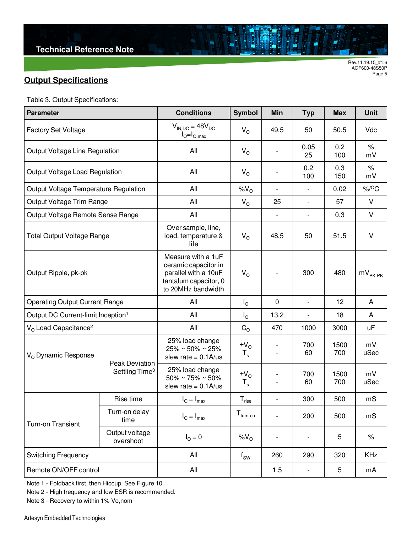## **Output Specifications**

|  | Table 3. Output Specifications: |  |
|--|---------------------------------|--|
|--|---------------------------------|--|

| <b>Parameter</b>                               |                                              | <b>Conditions</b>                                                                                                 | <b>Symbol</b>                  | Min                      | <b>Typ</b>               | <b>Max</b>  | <b>Unit</b>           |
|------------------------------------------------|----------------------------------------------|-------------------------------------------------------------------------------------------------------------------|--------------------------------|--------------------------|--------------------------|-------------|-----------------------|
| <b>Factory Set Voltage</b>                     |                                              | $V_{IN,DC} = 48V_{DC}$<br>$I_{\odot} = I_{\odot, max}$                                                            | $V_{\rm O}$                    | 49.5                     | 50                       | 50.5        | Vdc                   |
| Output Voltage Line Regulation                 |                                              | All                                                                                                               | $V_{\rm O}$                    |                          | 0.05<br>25               | 0.2<br>100  | $\%$<br>mV            |
| Output Voltage Load Regulation                 |                                              | All                                                                                                               | $V_{\rm O}$                    |                          | 0.2<br>100               | 0.3<br>150  | $\%$<br>mV            |
| Output Voltage Temperature Regulation          |                                              | All                                                                                                               | $\%V_{O}$                      | $\overline{\phantom{a}}$ | $\overline{\phantom{a}}$ | 0.02        | $\%$ / <sup>O</sup> C |
| Output Voltage Trim Range                      |                                              | All                                                                                                               | $V_{\rm O}$                    | 25                       | $\overline{\phantom{a}}$ | 57          | V                     |
| Output Voltage Remote Sense Range              |                                              | All                                                                                                               |                                | $\overline{\phantom{0}}$ | $\overline{\phantom{a}}$ | 0.3         | $\vee$                |
| <b>Total Output Voltage Range</b>              |                                              | Over sample, line,<br>load, temperature &<br>life                                                                 | $V_{\rm O}$                    | 48.5                     | 50                       | 51.5        | V                     |
| Output Ripple, pk-pk                           |                                              | Measure with a 1uF<br>ceramic capacitor in<br>parallel with a 10uF<br>tantalum capacitor, 0<br>to 20MHz bandwidth | $V_{\rm O}$                    |                          | 300                      | 480         | $mV_{PK\text{-PK}}$   |
| <b>Operating Output Current Range</b>          |                                              | All                                                                                                               | $I_{\odot}$                    | 0                        | $\overline{\phantom{a}}$ | 12          | A                     |
| Output DC Current-limit Inception <sup>1</sup> |                                              | All                                                                                                               | $I_{\rm O}$                    | 13.2                     | $\overline{\phantom{a}}$ | 18          | A                     |
| $VO$ Load Capacitance <sup>2</sup>             |                                              | All                                                                                                               | $C_{\rm O}$                    | 470                      | 1000                     | 3000        | uF                    |
| $V_{O}$ Dynamic Response                       |                                              | 25% load change<br>$25\% \sim 50\% \sim 25\%$<br>slew rate = $0.1$ A/us                                           | $\pm V_{\rm O}$<br>$T_{\rm s}$ |                          | 700<br>60                | 1500<br>700 | mV<br>uSec            |
|                                                | Peak Deviation<br>Settling Time <sup>3</sup> | 25% load change<br>$50\% \sim 75\% \sim 50\%$<br>slew rate = $0.1$ A/us                                           | $\pm V_{\rm O}$<br>$T_{\rm s}$ |                          | 700<br>60                | 1500<br>700 | mV<br>uSec            |
| Rise time                                      |                                              | $I_{\odot} = I_{\text{max}}$                                                                                      | $T_{\text{rise}}$              | $\overline{\phantom{a}}$ | 300                      | 500         | mS                    |
| Turn-on Transient                              | Turn-on delay<br>time                        | $I_{\odot} = I_{\text{max}}$                                                                                      | $T_{turn-on}$                  | $\overline{\phantom{a}}$ | 200                      | 500         | mS                    |
| Output voltage<br>overshoot                    |                                              | $I_{\Omega} = 0$                                                                                                  | $%V_{O}$                       | $\overline{\phantom{a}}$ | $\overline{\phantom{a}}$ | 5           | $\%$                  |
| <b>Switching Frequency</b>                     |                                              | All                                                                                                               | $f_{SW}$                       | 260                      | 290                      | 320         | <b>KHz</b>            |
| Remote ON/OFF control                          |                                              | All                                                                                                               |                                | 1.5                      | $\overline{\phantom{a}}$ | 5           | mA                    |

ä

Note 1 - Foldback first, then Hiccup. See Figure 10.

Note 2 - High frequency and low ESR is recommended.

Note 3 - Recovery to within 1% Vo,nom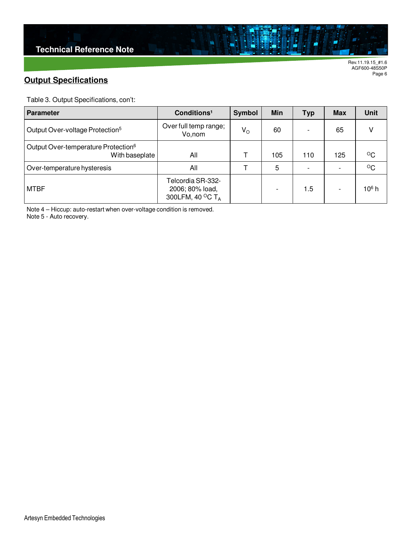### **Output Specifications**

Table 3. Output Specifications, con't:

| <b>Parameter</b>                                                  | Conditions <sup>1</sup>                                              | Symbol      | Min | <b>Typ</b> | <b>Max</b> | <b>Unit</b> |
|-------------------------------------------------------------------|----------------------------------------------------------------------|-------------|-----|------------|------------|-------------|
| Output Over-voltage Protection <sup>5</sup>                       | Over full temp range;<br>Vo,nom                                      | $V_{\rm O}$ | 60  |            | 65         |             |
| Output Over-temperature Protection <sup>6</sup><br>With baseplate | All                                                                  |             | 105 | 110        | 125        | °C          |
| Over-temperature hysteresis                                       | All                                                                  |             | 5   |            |            | $\circ$ C   |
| <b>MTBF</b>                                                       | Telcordia SR-332-<br>2006; 80% load,<br>300LFM, 40 °C T <sub>A</sub> |             |     | 1.5        |            | $106$ h     |

ä

Note 4 – Hiccup: auto-restart when over-voltage condition is removed.

Note 5 - Auto recovery.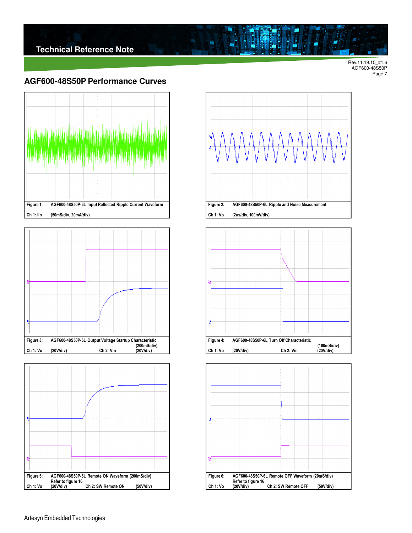#### **AGF600-48S50P Performance Curves**









å

 $\blacksquare$ 



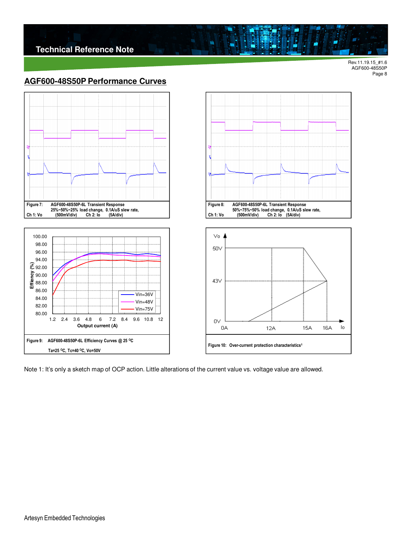**Technical Reference Note**

Rev.11.19.15\_#1.6 AGF600-48S50P Page 8

 $\mathsf{I} \circ$ 

**16A** 

15A

#### **AGF600-48S50P Performance Curves**





 $\blacksquare$ 

Figure 10: Over-current protection characteristics<sup>1</sup>

12A

43V

0V

0A

Note 1: It's only a sketch map of OCP action. Little alterations of the current value vs. voltage value are allowed.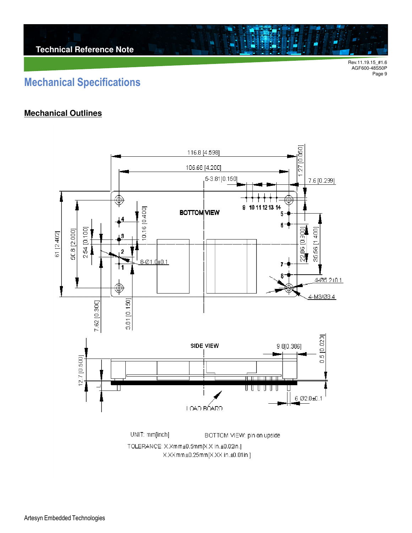# **Mechanical Specifications**

#### **Mechanical Outlines**

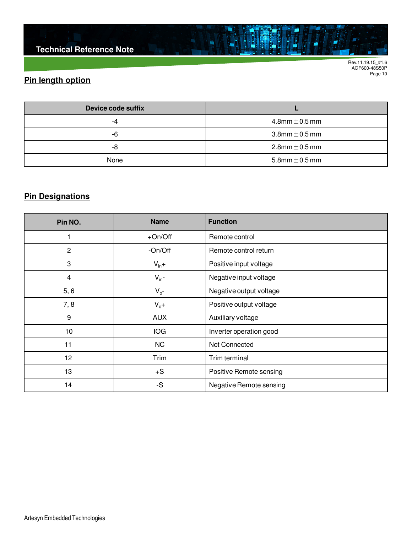**Technical Reference Note**

Rev.11.19.15\_#1.6 AGF600-48S50P Page 10

## **Pin length option**

| Device code suffix |                       |
|--------------------|-----------------------|
| -4                 | $4.8$ mm $\pm$ 0.5 mm |
| -6                 | $3.8$ mm $\pm$ 0.5 mm |
| -8                 | $2.8$ mm $\pm$ 0.5 mm |
| None               | 5.8mm $\pm$ 0.5 mm    |

ä

## **Pin Designations**

| Pin NO.        | <b>Name</b><br><b>Function</b> |                         |
|----------------|--------------------------------|-------------------------|
|                | $+On/Off$                      | Remote control          |
| $\overline{2}$ | -On/Off                        | Remote control return   |
| 3              | $V_{in}+$                      | Positive input voltage  |
| 4              | $V_{in}$ -                     | Negative input voltage  |
| 5, 6           | $V_{o}$ -                      | Negative output voltage |
| 7, 8           | $V_0 +$                        | Positive output voltage |
| 9              | <b>AUX</b>                     | Auxiliary voltage       |
| 10             | IOG                            | Inverter operation good |
| 11             | <b>NC</b>                      | Not Connected           |
| 12             | Trim                           | Trim terminal           |
| 13             | $+S$                           | Positive Remote sensing |
| 14             | -S                             | Negative Remote sensing |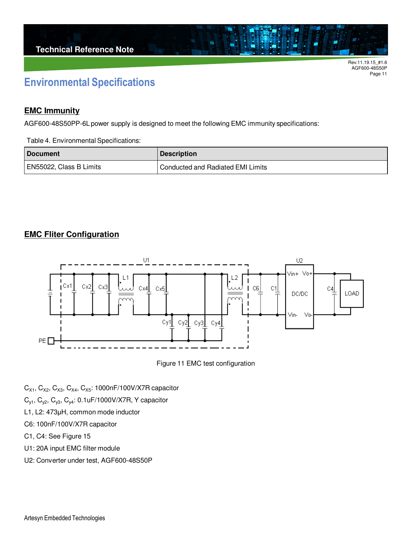# **Environmental Specifications**

#### **EMC Immunity**

AGF600-48S50PP-6L power supply is designed to meet the following EMC immunity specifications:

Table 4. Environmental Specifications:

| <b>Document</b>         | <b>Description</b>                       |
|-------------------------|------------------------------------------|
| EN55022, Class B Limits | <b>Conducted and Radiated EMI Limits</b> |

### **EMC Fliter Configuration**





- $C_{X1}$ ,  $C_{X2}$ ,  $C_{X3}$ ,  $C_{X4}$ ,  $C_{X5}$ : 1000nF/100V/X7R capacitor
- $C_{y1}$ ,  $C_{y2}$ ,  $C_{y3}$ ,  $C_{y4}$ : 0.1uF/1000V/X7R, Y capacitor
- L1, L2: 473µH, common mode inductor
- C6: 100nF/100V/X7R capacitor
- C1, C4: See Figure 15
- U1: 20A input EMC filter module
- U2: Converter under test, AGF600-48S50P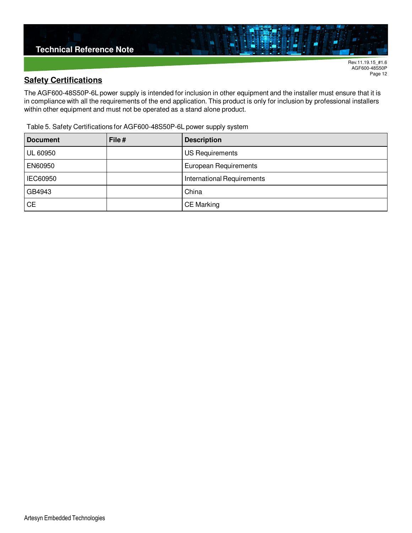

AGF600-48S50P Page 12

#### **Safety Certifications**

The AGF600-48S50P-6L power supply is intended for inclusion in other equipment and the installer must ensure that it is in compliance with all the requirements of the end application. This product is only for inclusion by professional installers within other equipment and must not be operated as a stand alone product.

Table 5. Safety Certifications for AGF600-48S50P-6L power supply system

| <b>Document</b> | File# | <b>Description</b>                |
|-----------------|-------|-----------------------------------|
| <b>UL 60950</b> |       | <b>US Requirements</b>            |
| EN60950         |       | European Requirements             |
| IEC60950        |       | <b>International Requirements</b> |
| GB4943          |       | China                             |
| <b>CE</b>       |       | <b>CE Marking</b>                 |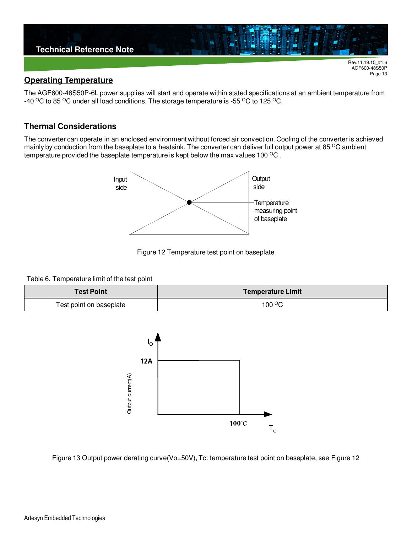

#### **Operating Temperature**

The AGF600-48S50P-6L power supplies will start and operate within stated specifications at an ambient temperature from -40  $\rm{^{\circ}C}$  to 85  $\rm{^{\circ}C}$  under all load conditions. The storage temperature is -55  $\rm{^{\circ}C}$  to 125  $\rm{^{\circ}C}$ .

Page 13

#### **Thermal Considerations**

The converter can operate in an enclosed environment without forced air convection. Cooling of the converter is achieved mainly by conduction from the baseplate to a heatsink. The converter can deliver full output power at 85  $\degree$ C ambient temperature provided the baseplate temperature is kept below the max values 100 <sup>o</sup>C.



Figure 12 Temperature test point on baseplate

#### Table 6. Temperature limit of the test point

| <b>Test Point</b>       | <b>Temperature Limit</b> |
|-------------------------|--------------------------|
| Test point on baseplate | $100^{\circ}$ C          |



Figure 13 Output power derating curve(Vo=50V), Tc: temperature test point on baseplate, see Figure 12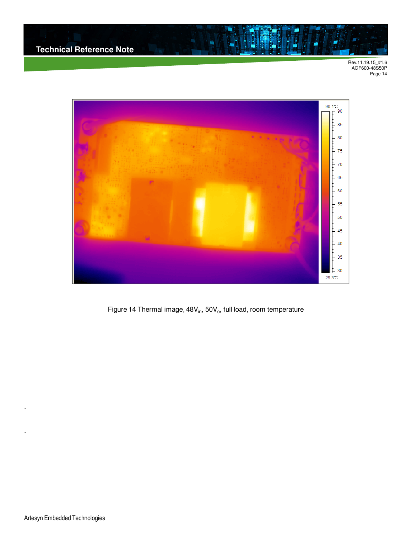

Figure 14 Thermal image, 48 $\mathsf{V}_{\mathsf{in}},$  50 $\mathsf{V}_{\mathsf{o}},$  full load, room temperature

.

.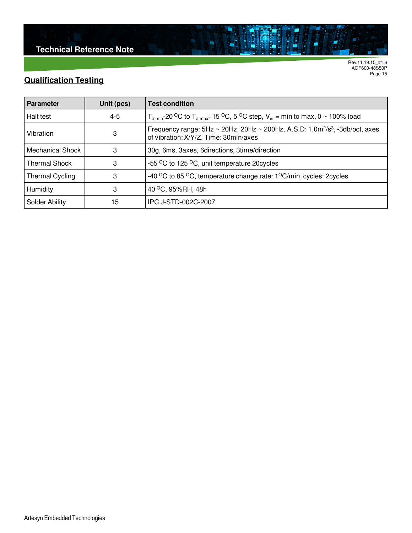## **Qualification Testing**

| <b>Parameter</b>       | Unit (pcs) | <b>Test condition</b>                                                                                                                                     |  |
|------------------------|------------|-----------------------------------------------------------------------------------------------------------------------------------------------------------|--|
| Halt test              | $4 - 5$    | $T_{\text{a,min}}$ -20 °C to $T_{\text{a,max}}$ +15 °C, 5 °C step, $V_{\text{in}}$ = min to max, 0 ~ 100% load                                            |  |
| Vibration              | 3          | Frequency range: $5Hz \sim 20Hz$ , $20Hz \sim 200Hz$ , A.S.D: 1.0m <sup>2</sup> /s <sup>3</sup> , -3db/oct, axes<br>of vibration: X/Y/Z. Time: 30min/axes |  |
| Mechanical Shock       | 3          | 30g, 6ms, 3axes, 6directions, 3time/direction                                                                                                             |  |
| <b>Thermal Shock</b>   | 3          | -55 °C to 125 °C, unit temperature 20 cycles                                                                                                              |  |
| <b>Thermal Cycling</b> | 3          | -40 °C to 85 °C, temperature change rate: 1°C/min, cycles: 2cycles                                                                                        |  |
| Humidity               | 3          | 40 °C, 95%RH, 48h                                                                                                                                         |  |
| <b>Solder Ability</b>  | 15         | IPC J-STD-002C-2007                                                                                                                                       |  |

 $\blacksquare$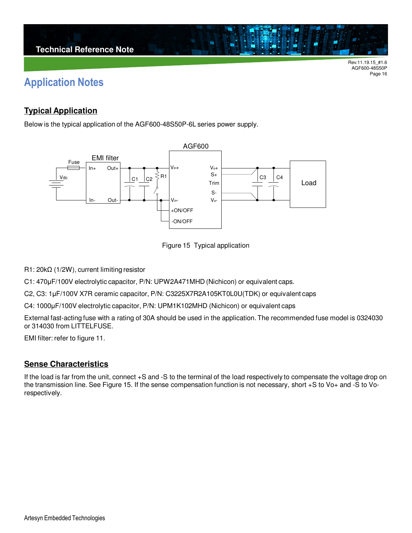# **Application Notes**

### **Typical Application**

Below is the typical application of the AGF600-48S50P-6L series power supply.





R1: 20kΩ (1/2W), current limiting resistor

C1: 470µF/100V electrolytic capacitor, P/N: UPW2A471MHD (Nichicon) or equivalent caps.

C2, C3: 1µF/100V X7R ceramic capacitor, P/N: C3225X7R2A105KT0L0U(TDK) or equivalent caps

C4: 1000µF/100V electrolytic capacitor, P/N: UPM1K102MHD (Nichicon) or equivalent caps

External fast-acting fuse with a rating of 30A should be used in the application. The recommended fuse model is 0324030 or 314030 from LITTELFUSE.

EMI filter: refer to figure 11.

#### **Sense Characteristics**

If the load is far from the unit, connect +S and -S to the terminal of the load respectively to compensate the voltage drop on the transmission line. See Figure 15. If the sense compensation function is not necessary, short +S to Vo+ and -S to Vorespectively.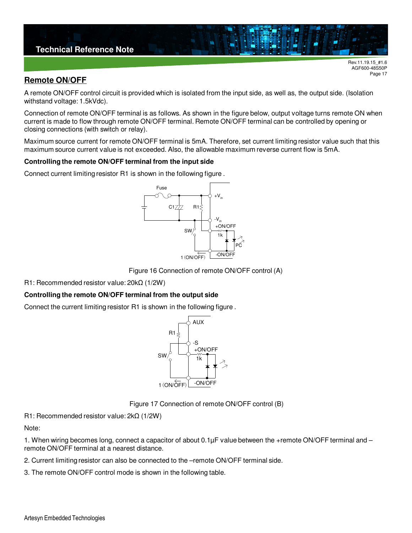

#### **Remote ON/OFF**

A remote ON/OFF control circuit is provided which is isolated from the input side, as well as, the output side. (Isolation withstand voltage: 1.5kVdc).

Connection of remote ON/OFF terminal is as follows. As shown in the figure below, output voltage turns remote ON when current is made to flow through remote ON/OFF terminal. Remote ON/OFF terminal can be controlled by opening or closing connections (with switch or relay).

Maximum source current for remote ON/OFF terminal is 5mA. Therefore, set current limiting resistor value such that this maximum source current value is not exceeded. Also, the allowable maximum reverse current flow is 5mA.

#### **Controlling the remote ON/OFF terminal from the input side**

Connect current limiting resistor R1 is shown in the following figure .



Figure 16 Connection of remote ON/OFF control (A)

R1: Recommended resistor value: 20kΩ (1/2W)

#### **Controlling the remote ON/OFF terminal from the output side**

Connect the current limiting resistor R1 is shown in the following figure .



Figure 17 Connection of remote ON/OFF control (B)

R1: Recommended resistor value: 2kΩ (1/2W)

Note:

1. When wiring becomes long, connect a capacitor of about 0.1µF value between the +remote ON/OFF terminal and – remote ON/OFF terminal at a nearest distance.

2. Current limiting resistor can also be connected to the –remote ON/OFF terminal side.

3. The remote ON/OFF control mode is shown in the following table.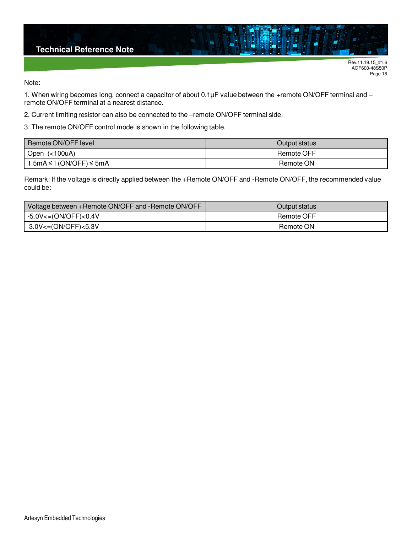

Note:

1. When wiring becomes long, connect a capacitor of about 0.1µF value between the +remote ON/OFF terminal and – remote ON/OFF terminal at a nearest distance.

2. Current limiting resistor can also be connected to the –remote ON/OFF terminal side.

3. The remote ON/OFF control mode is shown in the following table.

| Remote ON/OFF level                | Output status |
|------------------------------------|---------------|
| Open (<100uA)                      | Remote OFF    |
| $1.5mA \leq 1$ (ON/OFF) $\leq 5mA$ | Remote ON     |

Remark: If the voltage is directly applied between the +Remote ON/OFF and -Remote ON/OFF, the recommended value could be:

| Voltage between +Remote ON/OFF and -Remote ON/OFF | Output status |
|---------------------------------------------------|---------------|
| $-5.0V \leq (ON/OFF) \leq 0.4V$                   | Remote OFF    |
| 3.0V<=(ON/OFF)<5.3V                               | Remote ON     |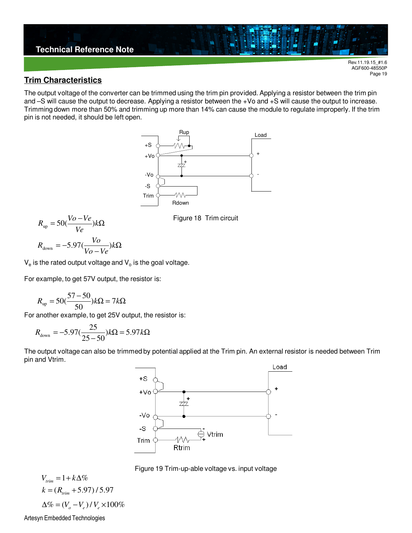

AGF600-48S50P Page 19

#### **Trim Characteristics**

The output voltage of the converter can be trimmed using the trim pin provided. Applying a resistor between the trim pin and –S will cause the output to decrease. Applying a resistor between the +Vo and +S will cause the output to increase. Trimming down more than 50% and trimming up more than 14% can cause the module to regulate improperly. If the trim pin is not needed, it should be left open.



$$
R_{\text{up}} = 50(\frac{Vo - Ve}{Ve})k\Omega
$$

$$
R_{\text{down}} = -5.97(\frac{Vo}{Vo - Ve})k\Omega
$$

 $\mathsf{V}_{\mathrm{e}}$  is the rated output voltage and  $\mathsf{V}_{\mathrm{o}}$  is the goal voltage.

For example, to get 57V output, the resistor is:

$$
R_{\rm up} = 50(\frac{57 - 50}{50})k\Omega = 7k\Omega
$$

For another example, to get 25V output, the resistor is:

$$
R_{\text{down}} = -5.97 \left(\frac{25}{25 - 50}\right) k\Omega = 5.97 k\Omega
$$

The output voltage can also be trimmed by potential applied at the Trim pin. An external resistor is needed between Trim pin and Vtrim.



Figure 19 Trim-up-able voltage vs. input voltage

$$
V_{trim} = 1 + k\Delta\%
$$
  
\n
$$
k = (R_{trim} + 5.97) / 5.97
$$
  
\n
$$
\Delta\% = (V_o - V_e) / V_e \times 100\%
$$

Artesyn Embedded Technologies

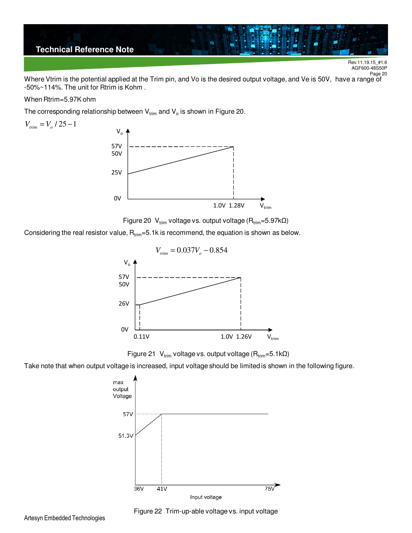

Rev.11.19.15\_#1.6 AGF600-48S50P Page<sub>20</sub>

Where Vtrim is the potential applied at the Trim pin, and Vo is the desired output voltage, and Ve is 50V, have a range of -50%~114%. The unit for Rtrim is Kohm .

#### When Rtrim=5.97K ohm

The corresponding relationship between  $\bm{\mathsf{V}}_{\text{trim}}$  and  $\bm{\mathsf{V}}_{\text{o}}$  is shown in Figure 20.



Figure 20 V<sub>trim</sub> voltage vs. output voltage (R<sub>trim</sub>=5.97kΩ)

Considering the real resistor value,  $R_{\text{trim}} = 5.1k$  is recommend, the equation is shown as below.



Figure 21 V<sub>trim</sub> voltage vs. output voltage (R<sub>trim</sub>=5.1kΩ)

Take note that when output voltage is increased, input voltage should be limited is shown in the following figure.





Figure 22 Trim-up-able voltage vs. input voltage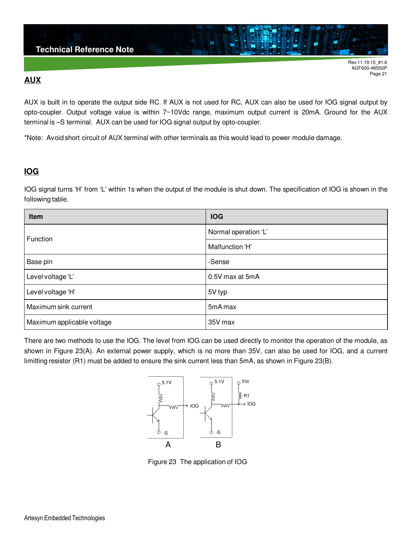#### **AUX**

AUX is built in to operate the output side RC. If AUX is not used for RC, AUX can also be used for IOG signal output by opto-coupler. Output voltage value is within 7~10Vdc range, maximum output current is 20mA. Ground for the AUX terminal is –S terminal. AUX can be used for IOG signal output by opto-coupler.

\*Note: Avoid short circuit of AUX terminal with other terminals as this would lead to power module damage.

#### **IOG**

IOG signal turns 'H' from 'L' within 1s when the output of the module is shut down. The specification of IOG is shown in the following table.

| Item                       | <b>IOG</b>           |
|----------------------------|----------------------|
| Function                   | Normal operation 'L' |
|                            | Malfunction 'H'      |
| Base pin                   | -Sense               |
| Level voltage 'L'          | 0.5V max at 5mA      |
| Level voltage 'H'          | 5V typ               |
| Maximum sink current       | 5mA max              |
| Maximum applicable voltage | 35V max              |

There are two methods to use the IOG. The level from IOG can be used directly to monitor the operation of the module, as shown in Figure 23(A). An external power supply, which is no more than 35V, can also be used for IOG, and a current limitting resistor (R1) must be added to ensure the sink current less than 5mA, as shown in Figure 23(B).



Figure 23 The application of IOG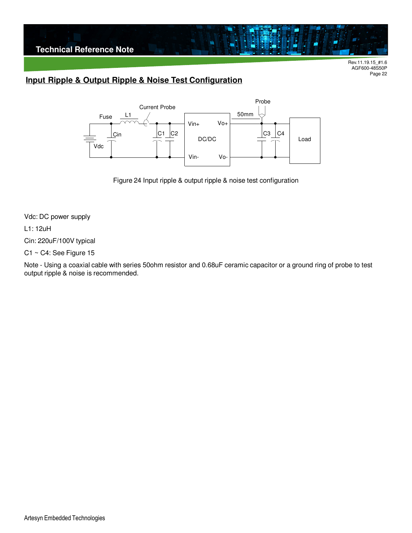

## **Input Ripple & Output Ripple & Noise Test Configuration**



Figure 24 Input ripple & output ripple & noise test configuration

Vdc: DC power supply

L1: 12uH

Cin: 220uF/100V typical

C1 ~ C4: See Figure 15

Note - Using a coaxial cable with series 50ohm resistor and 0.68uF ceramic capacitor or a ground ring of probe to test output ripple & noise is recommended.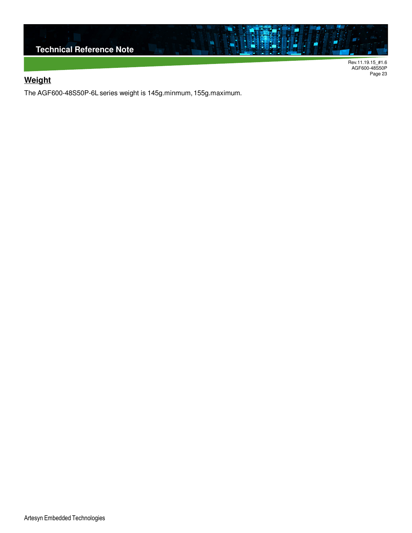

AGF600-48S50P Page 23

### **Weight**

The AGF600-48S50P-6L series weight is 145g.minmum, 155g.maximum.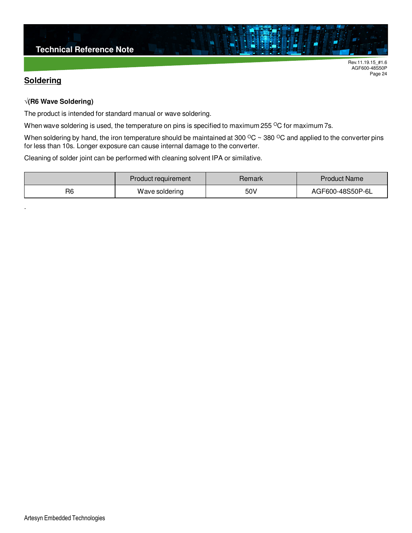#### **Soldering**

.

Rev.11.19.15\_#1.6 AGF600-48S50P Page 24

#### **√(R6 Wave Soldering)**

The product is intended for standard manual or wave soldering.

When wave soldering is used, the temperature on pins is specified to maximum 255 °C for maximum 7s.

When soldering by hand, the iron temperature should be maintained at 300  $^{\circ}$ C ~ 380  $^{\circ}$ C and applied to the converter pins for less than 10s. Longer exposure can cause internal damage to the converter.

Cleaning of solder joint can be performed with cleaning solvent IPA or similative.

| Product requirement |                | Remark | <b>Product Name</b> |
|---------------------|----------------|--------|---------------------|
| R6                  | Wave soldering | 50V    | AGF600-48S50P-6L    |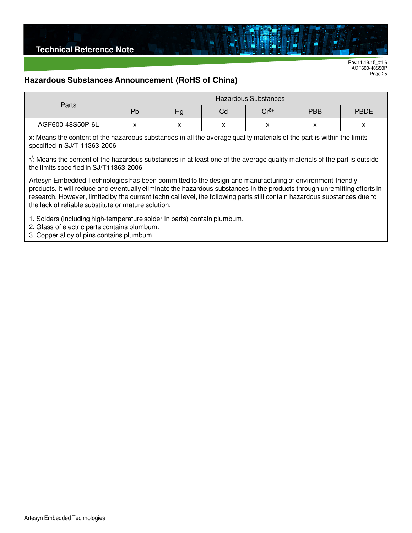

#### **Hazardous Substances Announcement (RoHS of China)**

| Parts            | <b>Hazardous Substances</b> |    |    |        |            |             |
|------------------|-----------------------------|----|----|--------|------------|-------------|
|                  | Pb                          | Hg | Cd | $Cr6+$ | <b>PBB</b> | <b>PBDE</b> |
| AGF600-48S50P-6L | $\lambda$                   |    |    | v<br>∧ |            | ⌒           |

х: Means the content of the hazardous substances in all the average quality materials of the part is within the limits specified in SJ/T-11363-2006

√: Means the content of the hazardous substances in at least one of the average quality materials of the part is outside the limits specified in SJ/T11363-2006

Artesyn Embedded Technologies has been committed to the design and manufacturing of environment-friendly products. It will reduce and eventually eliminate the hazardous substances in the products through unremitting efforts in research. However, limited by the current technical level, the following parts still contain hazardous substances due to the lack of reliable substitute or mature solution:

1. Solders (including high-temperature solder in parts) contain plumbum.

2. Glass of electric parts contains plumbum.

3. Copper alloy of pins contains plumbum